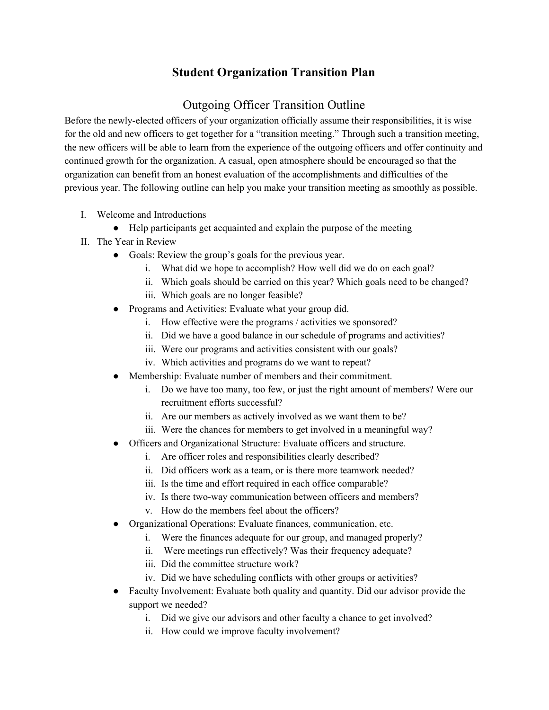## **Student Organization Transition Plan**

# Outgoing Officer Transition Outline

Before the newly-elected officers of your organization officially assume their responsibilities, it is wise for the old and new officers to get together for a "transition meeting." Through such a transition meeting, the new officers will be able to learn from the experience of the outgoing officers and offer continuity and continued growth for the organization. A casual, open atmosphere should be encouraged so that the organization can benefit from an honest evaluation of the accomplishments and difficulties of the previous year. The following outline can help you make your transition meeting as smoothly as possible.

- I. Welcome and Introductions
	- Help participants get acquainted and explain the purpose of the meeting
- II. The Year in Review
	- Goals: Review the group's goals for the previous year.
		- i. What did we hope to accomplish? How well did we do on each goal?
		- ii. Which goals should be carried on this year? Which goals need to be changed?
		- iii. Which goals are no longer feasible?
	- Programs and Activities: Evaluate what your group did.
		- i. How effective were the programs / activities we sponsored?
		- ii. Did we have a good balance in our schedule of programs and activities?
		- iii. Were our programs and activities consistent with our goals?
		- iv. Which activities and programs do we want to repeat?
	- Membership: Evaluate number of members and their commitment.
		- i. Do we have too many, too few, or just the right amount of members? Were our recruitment efforts successful?
		- ii. Are our members as actively involved as we want them to be?
		- iii. Were the chances for members to get involved in a meaningful way?
	- Officers and Organizational Structure: Evaluate officers and structure.
		- i. Are officer roles and responsibilities clearly described?
		- ii. Did officers work as a team, or is there more teamwork needed?
		- iii. Is the time and effort required in each office comparable?
		- iv. Is there two-way communication between officers and members?
		- v. How do the members feel about the officers?
	- Organizational Operations: Evaluate finances, communication, etc.
		- i. Were the finances adequate for our group, and managed properly?
		- ii. Were meetings run effectively? Was their frequency adequate?
		- iii. Did the committee structure work?
		- iv. Did we have scheduling conflicts with other groups or activities?
	- Faculty Involvement: Evaluate both quality and quantity. Did our advisor provide the support we needed?
		- i. Did we give our advisors and other faculty a chance to get involved?
		- ii. How could we improve faculty involvement?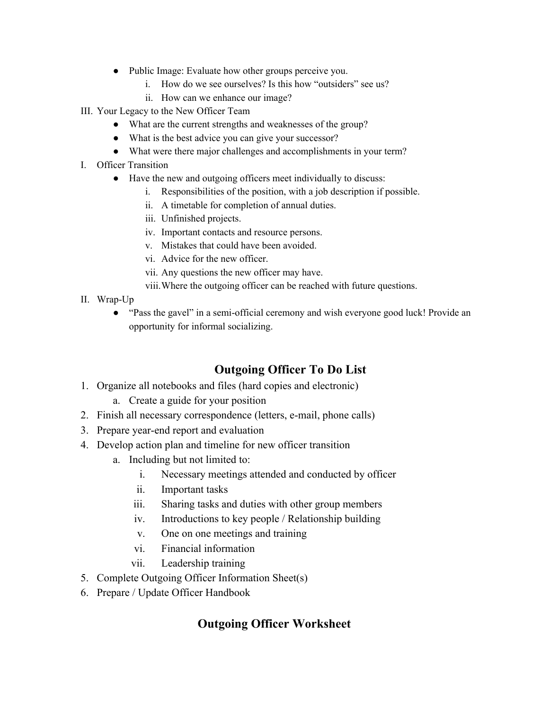- Public Image: Evaluate how other groups perceive you.
	- i. How do we see ourselves? Is this how "outsiders" see us?
	- ii. How can we enhance our image?
- III. Your Legacy to the New Officer Team
	- What are the current strengths and weaknesses of the group?
	- What is the best advice you can give your successor?
	- What were there major challenges and accomplishments in your term?
- I. Officer Transition
	- Have the new and outgoing officers meet individually to discuss:
		- i. Responsibilities of the position, with a job description if possible.
		- ii. A timetable for completion of annual duties.
		- iii. Unfinished projects.
		- iv. Important contacts and resource persons.
		- v. Mistakes that could have been avoided.
		- vi. Advice for the new officer.
		- vii. Any questions the new officer may have.
		- viii.Where the outgoing officer can be reached with future questions.
- II. Wrap-Up
	- "Pass the gavel" in a semi-official ceremony and wish everyone good luck! Provide an opportunity for informal socializing.

## **Outgoing Officer To Do List**

- 1. Organize all notebooks and files (hard copies and electronic)
	- a. Create a guide for your position
- 2. Finish all necessary correspondence (letters, e-mail, phone calls)
- 3. Prepare year-end report and evaluation
- 4. Develop action plan and timeline for new officer transition
	- a. Including but not limited to:
		- i. Necessary meetings attended and conducted by officer
		- ii. Important tasks
		- iii. Sharing tasks and duties with other group members
		- iv. Introductions to key people / Relationship building
		- v. One on one meetings and training
		- vi. Financial information
		- vii. Leadership training
- 5. Complete Outgoing Officer Information Sheet(s)
- 6. Prepare / Update Officer Handbook

#### **Outgoing Officer Worksheet**